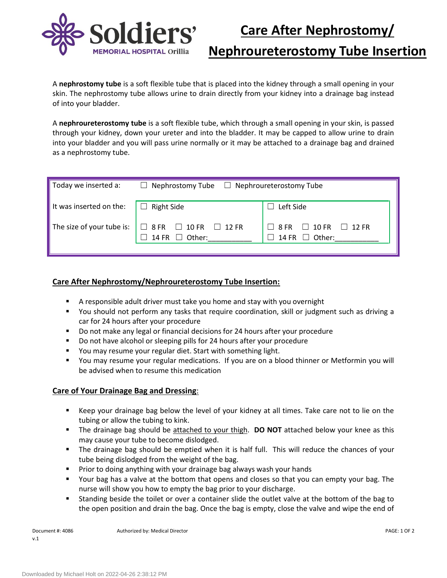

**Nephroureterostomy Tube Insertion**

A **nephrostomy tube** is a soft flexible tube that is placed into the kidney through a small opening in your skin. The nephrostomy tube allows urine to drain directly from your kidney into a drainage bag instead of into your bladder.

A **nephroureterostomy tube** is a soft flexible tube, which through a small opening in your skin, is passed through your kidney, down your ureter and into the bladder. It may be capped to allow urine to drain into your bladder and you will pass urine normally or it may be attached to a drainage bag and drained as a nephrostomy tube.

| Today we inserted a:                      | $\Box$ Nephrostomy Tube $\Box$ Nephroureterostomy Tube                                 |                                                                        |  |  |  |
|-------------------------------------------|----------------------------------------------------------------------------------------|------------------------------------------------------------------------|--|--|--|
| It was inserted on the: $\Box$ Right Side |                                                                                        | Left Side                                                              |  |  |  |
|                                           | The size of your tube is: $\Box$ 8 FR $\Box$ 10 FR $\Box$ 12 FR<br>14 FR $\Box$ Other: | $\Box$ 8 FR $\Box$ 10 FR $\Box$ 12 FR<br>14 FR $\Box$ Other:<br>$\Box$ |  |  |  |

## **Care After Nephrostomy/Nephroureterostomy Tube Insertion:**

- A responsible adult driver must take you home and stay with you overnight
- You should not perform any tasks that require coordination, skill or judgment such as driving a car for 24 hours after your procedure
- **Do not make any legal or financial decisions for 24 hours after your procedure**
- Do not have alcohol or sleeping pills for 24 hours after your procedure
- You may resume your regular diet. Start with something light.
- You may resume your regular medications. If you are on a blood thinner or Metformin you will be advised when to resume this medication

#### **Care of Your Drainage Bag and Dressing**:

- Keep your drainage bag below the level of your kidney at all times. Take care not to lie on the tubing or allow the tubing to kink.
- The drainage bag should be attached to your thigh. **DO NOT** attached below your knee as this may cause your tube to become dislodged.
- The drainage bag should be emptied when it is half full. This will reduce the chances of your tube being dislodged from the weight of the bag.
- Prior to doing anything with your drainage bag always wash your hands
- Your bag has a valve at the bottom that opens and closes so that you can empty your bag. The nurse will show you how to empty the bag prior to your discharge.
- Standing beside the toilet or over a container slide the outlet valve at the bottom of the bag to the open position and drain the bag. Once the bag is empty, close the valve and wipe the end of